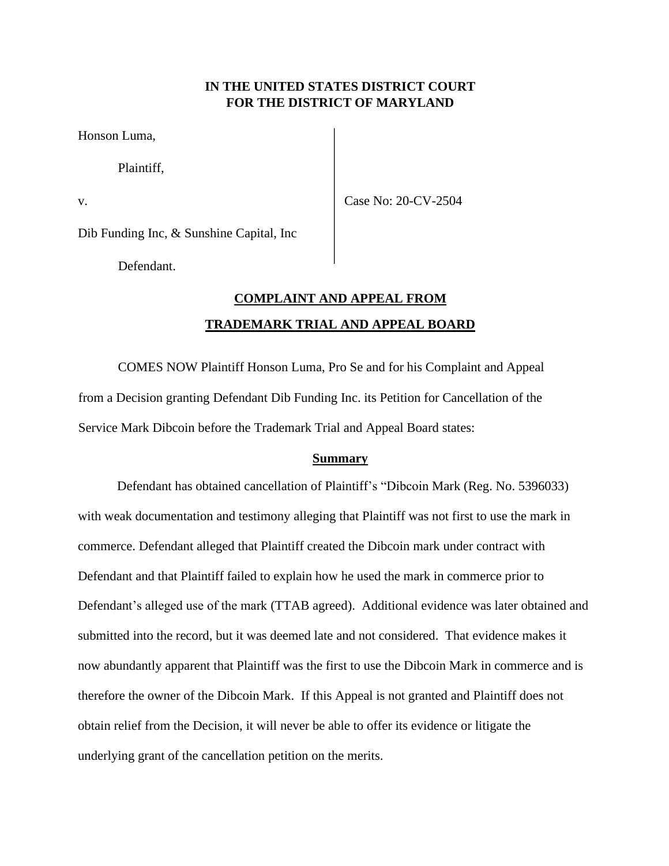# **IN THE UNITED STATES DISTRICT COURT FOR THE DISTRICT OF MARYLAND**

Honson Luma,

Plaintiff,

v. Case No: 20-CV-2504

Dib Funding Inc, & Sunshine Capital, Inc

Defendant.

# **COMPLAINT AND APPEAL FROM TRADEMARK TRIAL AND APPEAL BOARD**

COMES NOW Plaintiff Honson Luma, Pro Se and for his Complaint and Appeal from a Decision granting Defendant Dib Funding Inc. its Petition for Cancellation of the Service Mark Dibcoin before the Trademark Trial and Appeal Board states:

## **Summary**

Defendant has obtained cancellation of Plaintiff's "Dibcoin Mark (Reg. No. 5396033) with weak documentation and testimony alleging that Plaintiff was not first to use the mark in commerce. Defendant alleged that Plaintiff created the Dibcoin mark under contract with Defendant and that Plaintiff failed to explain how he used the mark in commerce prior to Defendant's alleged use of the mark (TTAB agreed). Additional evidence was later obtained and submitted into the record, but it was deemed late and not considered. That evidence makes it now abundantly apparent that Plaintiff was the first to use the Dibcoin Mark in commerce and is therefore the owner of the Dibcoin Mark. If this Appeal is not granted and Plaintiff does not obtain relief from the Decision, it will never be able to offer its evidence or litigate the underlying grant of the cancellation petition on the merits.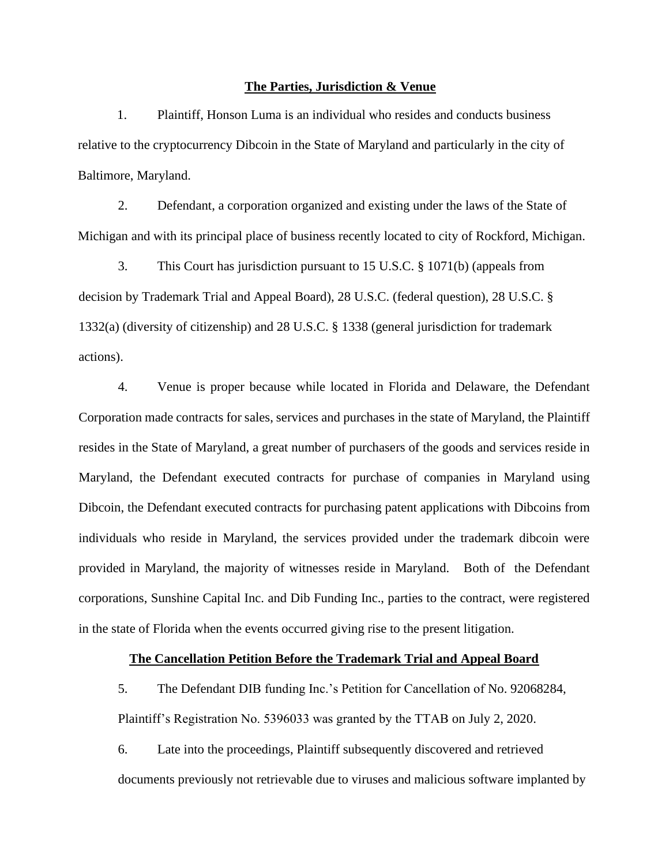#### **The Parties, Jurisdiction & Venue**

1. Plaintiff, Honson Luma is an individual who resides and conducts business relative to the cryptocurrency Dibcoin in the State of Maryland and particularly in the city of Baltimore, Maryland.

2. Defendant, a corporation organized and existing under the laws of the State of Michigan and with its principal place of business recently located to city of Rockford, Michigan.

3. This Court has jurisdiction pursuant to 15 U.S.C. § 1071(b) (appeals from decision by Trademark Trial and Appeal Board), 28 U.S.C. (federal question), 28 U.S.C. § 1332(a) (diversity of citizenship) and 28 U.S.C. § 1338 (general jurisdiction for trademark actions).

4. Venue is proper because while located in Florida and Delaware, the Defendant Corporation made contracts for sales, services and purchases in the state of Maryland, the Plaintiff resides in the State of Maryland, a great number of purchasers of the goods and services reside in Maryland, the Defendant executed contracts for purchase of companies in Maryland using Dibcoin, the Defendant executed contracts for purchasing patent applications with Dibcoins from individuals who reside in Maryland, the services provided under the trademark dibcoin were provided in Maryland, the majority of witnesses reside in Maryland. Both of the Defendant corporations, Sunshine Capital Inc. and Dib Funding Inc., parties to the contract, were registered in the state of Florida when the events occurred giving rise to the present litigation.

#### **The Cancellation Petition Before the Trademark Trial and Appeal Board**

5. The Defendant DIB funding Inc.'s Petition for Cancellation of No. 92068284, Plaintiff's Registration No. 5396033 was granted by the TTAB on July 2, 2020.

6. Late into the proceedings, Plaintiff subsequently discovered and retrieved documents previously not retrievable due to viruses and malicious software implanted by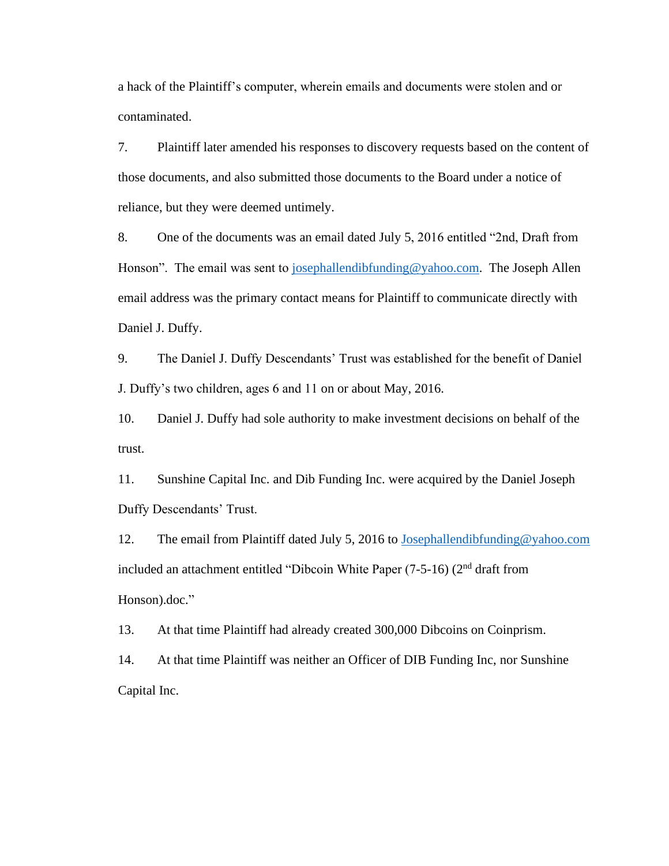a hack of the Plaintiff's computer, wherein emails and documents were stolen and or contaminated.

7. Plaintiff later amended his responses to discovery requests based on the content of those documents, and also submitted those documents to the Board under a notice of reliance, but they were deemed untimely.

8. One of the documents was an email dated July 5, 2016 entitled "2nd, Draft from Honson". The email was sent to [josephallendibfunding@yahoo.com.](mailto:josephallendibfunding@yahoo.com) The Joseph Allen email address was the primary contact means for Plaintiff to communicate directly with Daniel J. Duffy.

9. The Daniel J. Duffy Descendants' Trust was established for the benefit of Daniel J. Duffy's two children, ages 6 and 11 on or about May, 2016.

10. Daniel J. Duffy had sole authority to make investment decisions on behalf of the trust.

11. Sunshine Capital Inc. and Dib Funding Inc. were acquired by the Daniel Joseph Duffy Descendants' Trust.

12. The email from Plaintiff dated July 5, 2016 to [Josephallendibfunding@yahoo.com](mailto:Josephallendibfunding@yahoo.com) included an attachment entitled "Dibcoin White Paper  $(7-5-16)$   $(2<sup>nd</sup>$  draft from Honson).doc."

13. At that time Plaintiff had already created 300,000 Dibcoins on Coinprism.

14. At that time Plaintiff was neither an Officer of DIB Funding Inc, nor Sunshine Capital Inc.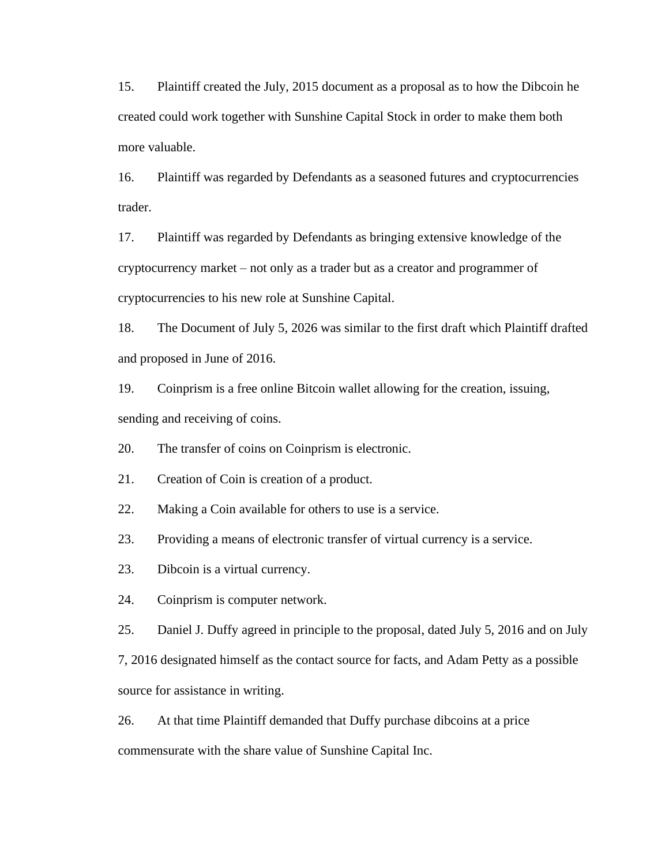15. Plaintiff created the July, 2015 document as a proposal as to how the Dibcoin he created could work together with Sunshine Capital Stock in order to make them both more valuable.

16. Plaintiff was regarded by Defendants as a seasoned futures and cryptocurrencies trader.

17. Plaintiff was regarded by Defendants as bringing extensive knowledge of the cryptocurrency market – not only as a trader but as a creator and programmer of cryptocurrencies to his new role at Sunshine Capital.

18. The Document of July 5, 2026 was similar to the first draft which Plaintiff drafted and proposed in June of 2016.

19. Coinprism is a free online Bitcoin wallet allowing for the creation, issuing, sending and receiving of coins.

20. The transfer of coins on Coinprism is electronic.

21. Creation of Coin is creation of a product.

22. Making a Coin available for others to use is a service.

23. Providing a means of electronic transfer of virtual currency is a service.

23. Dibcoin is a virtual currency.

24. Coinprism is computer network.

25. Daniel J. Duffy agreed in principle to the proposal, dated July 5, 2016 and on July

7, 2016 designated himself as the contact source for facts, and Adam Petty as a possible source for assistance in writing.

26. At that time Plaintiff demanded that Duffy purchase dibcoins at a price commensurate with the share value of Sunshine Capital Inc.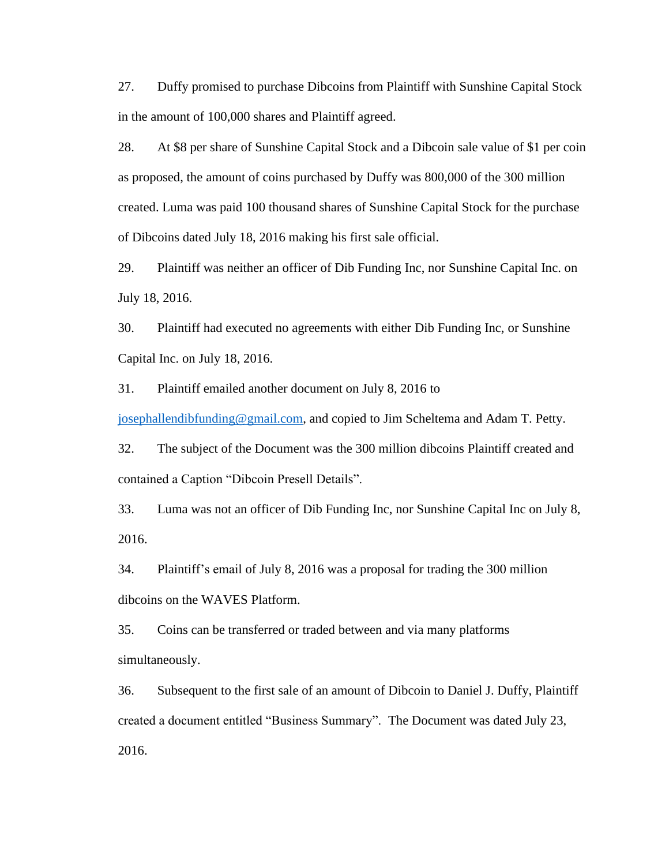27. Duffy promised to purchase Dibcoins from Plaintiff with Sunshine Capital Stock in the amount of 100,000 shares and Plaintiff agreed.

28. At \$8 per share of Sunshine Capital Stock and a Dibcoin sale value of \$1 per coin as proposed, the amount of coins purchased by Duffy was 800,000 of the 300 million created. Luma was paid 100 thousand shares of Sunshine Capital Stock for the purchase of Dibcoins dated July 18, 2016 making his first sale official.

29. Plaintiff was neither an officer of Dib Funding Inc, nor Sunshine Capital Inc. on July 18, 2016.

30. Plaintiff had executed no agreements with either Dib Funding Inc, or Sunshine Capital Inc. on July 18, 2016.

31. Plaintiff emailed another document on July 8, 2016 to

[josephallendibfunding@gmail.com,](mailto:josephallendibfunding@gmail.com) and copied to Jim Scheltema and Adam T. Petty.

32. The subject of the Document was the 300 million dibcoins Plaintiff created and contained a Caption "Dibcoin Presell Details".

33. Luma was not an officer of Dib Funding Inc, nor Sunshine Capital Inc on July 8, 2016.

34. Plaintiff's email of July 8, 2016 was a proposal for trading the 300 million dibcoins on the WAVES Platform.

35. Coins can be transferred or traded between and via many platforms simultaneously.

36. Subsequent to the first sale of an amount of Dibcoin to Daniel J. Duffy, Plaintiff created a document entitled "Business Summary". The Document was dated July 23, 2016.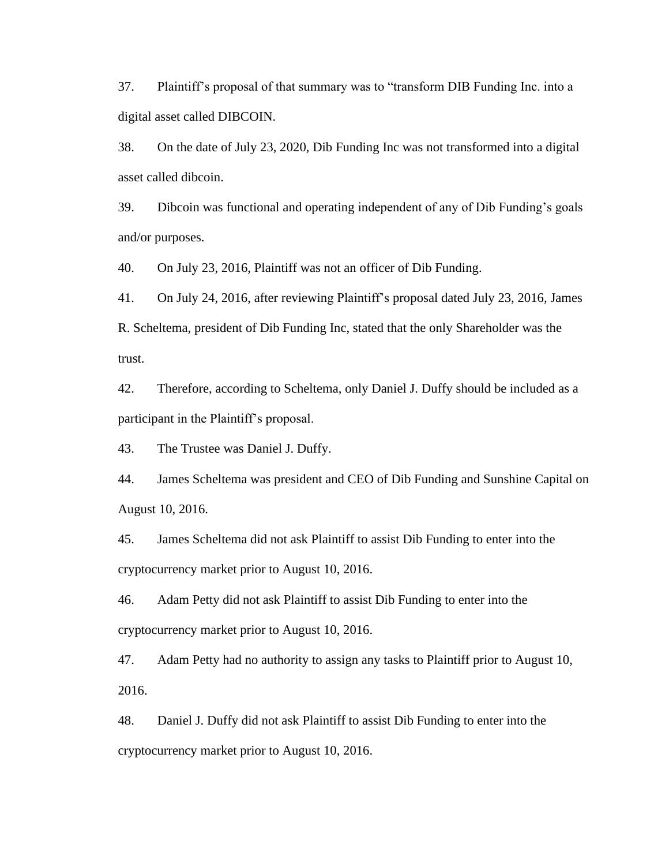37. Plaintiff's proposal of that summary was to "transform DIB Funding Inc. into a digital asset called DIBCOIN.

38. On the date of July 23, 2020, Dib Funding Inc was not transformed into a digital asset called dibcoin.

39. Dibcoin was functional and operating independent of any of Dib Funding's goals and/or purposes.

40. On July 23, 2016, Plaintiff was not an officer of Dib Funding.

41. On July 24, 2016, after reviewing Plaintiff's proposal dated July 23, 2016, James R. Scheltema, president of Dib Funding Inc, stated that the only Shareholder was the trust.

42. Therefore, according to Scheltema, only Daniel J. Duffy should be included as a participant in the Plaintiff's proposal.

43. The Trustee was Daniel J. Duffy.

44. James Scheltema was president and CEO of Dib Funding and Sunshine Capital on August 10, 2016.

45. James Scheltema did not ask Plaintiff to assist Dib Funding to enter into the cryptocurrency market prior to August 10, 2016.

46. Adam Petty did not ask Plaintiff to assist Dib Funding to enter into the cryptocurrency market prior to August 10, 2016.

47. Adam Petty had no authority to assign any tasks to Plaintiff prior to August 10, 2016.

48. Daniel J. Duffy did not ask Plaintiff to assist Dib Funding to enter into the cryptocurrency market prior to August 10, 2016.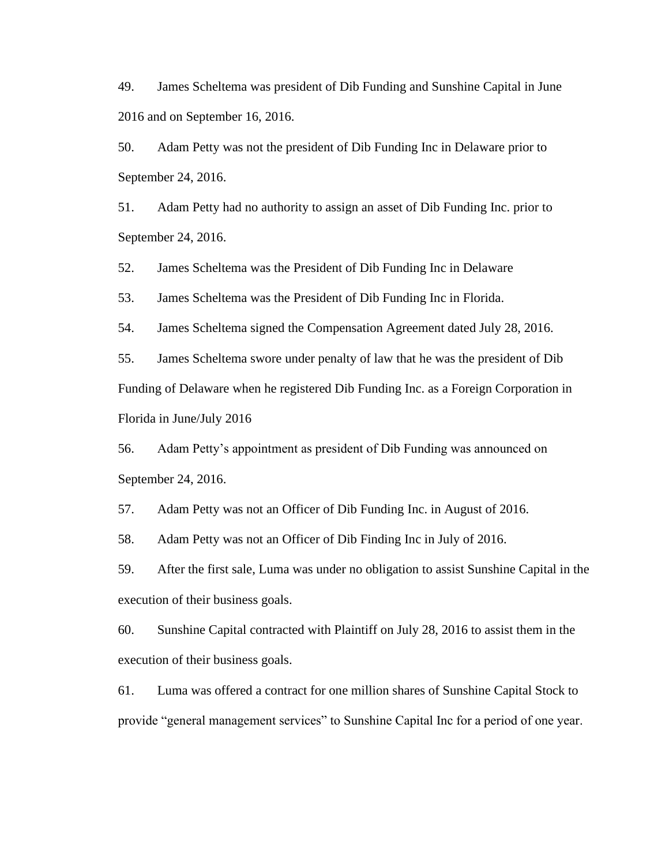49. James Scheltema was president of Dib Funding and Sunshine Capital in June 2016 and on September 16, 2016.

50. Adam Petty was not the president of Dib Funding Inc in Delaware prior to September 24, 2016.

51. Adam Petty had no authority to assign an asset of Dib Funding Inc. prior to September 24, 2016.

52. James Scheltema was the President of Dib Funding Inc in Delaware

53. James Scheltema was the President of Dib Funding Inc in Florida.

54. James Scheltema signed the Compensation Agreement dated July 28, 2016.

55. James Scheltema swore under penalty of law that he was the president of Dib Funding of Delaware when he registered Dib Funding Inc. as a Foreign Corporation in Florida in June/July 2016

56. Adam Petty's appointment as president of Dib Funding was announced on September 24, 2016.

57. Adam Petty was not an Officer of Dib Funding Inc. in August of 2016.

58. Adam Petty was not an Officer of Dib Finding Inc in July of 2016.

59. After the first sale, Luma was under no obligation to assist Sunshine Capital in the execution of their business goals.

60. Sunshine Capital contracted with Plaintiff on July 28, 2016 to assist them in the execution of their business goals.

61. Luma was offered a contract for one million shares of Sunshine Capital Stock to provide "general management services" to Sunshine Capital Inc for a period of one year.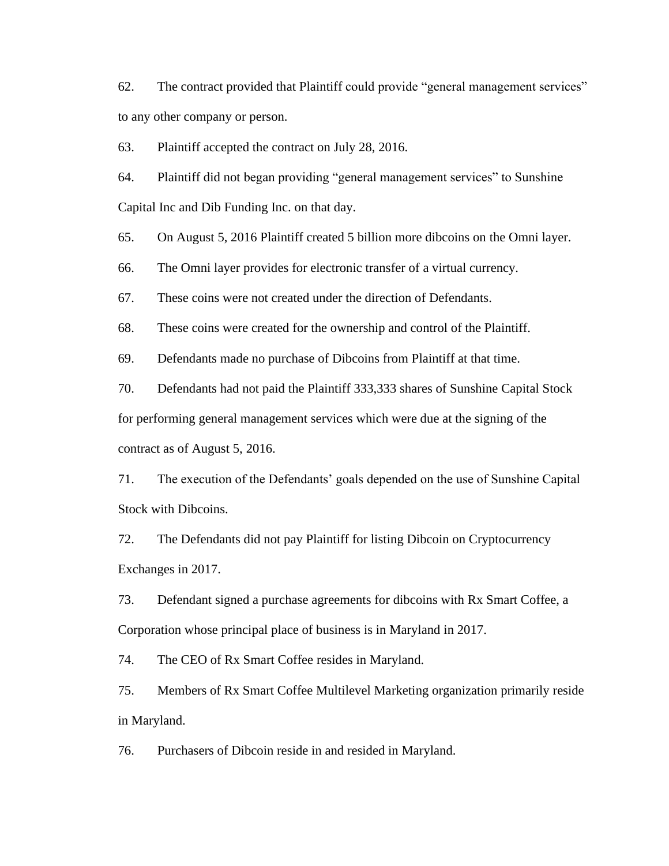62. The contract provided that Plaintiff could provide "general management services" to any other company or person.

63. Plaintiff accepted the contract on July 28, 2016.

64. Plaintiff did not began providing "general management services" to Sunshine Capital Inc and Dib Funding Inc. on that day.

65. On August 5, 2016 Plaintiff created 5 billion more dibcoins on the Omni layer.

66. The Omni layer provides for electronic transfer of a virtual currency.

67. These coins were not created under the direction of Defendants.

68. These coins were created for the ownership and control of the Plaintiff.

69. Defendants made no purchase of Dibcoins from Plaintiff at that time.

70. Defendants had not paid the Plaintiff 333,333 shares of Sunshine Capital Stock for performing general management services which were due at the signing of the contract as of August 5, 2016.

71. The execution of the Defendants' goals depended on the use of Sunshine Capital Stock with Dibcoins.

72. The Defendants did not pay Plaintiff for listing Dibcoin on Cryptocurrency Exchanges in 2017.

73. Defendant signed a purchase agreements for dibcoins with Rx Smart Coffee, a Corporation whose principal place of business is in Maryland in 2017.

74. The CEO of Rx Smart Coffee resides in Maryland.

75. Members of Rx Smart Coffee Multilevel Marketing organization primarily reside in Maryland.

76. Purchasers of Dibcoin reside in and resided in Maryland.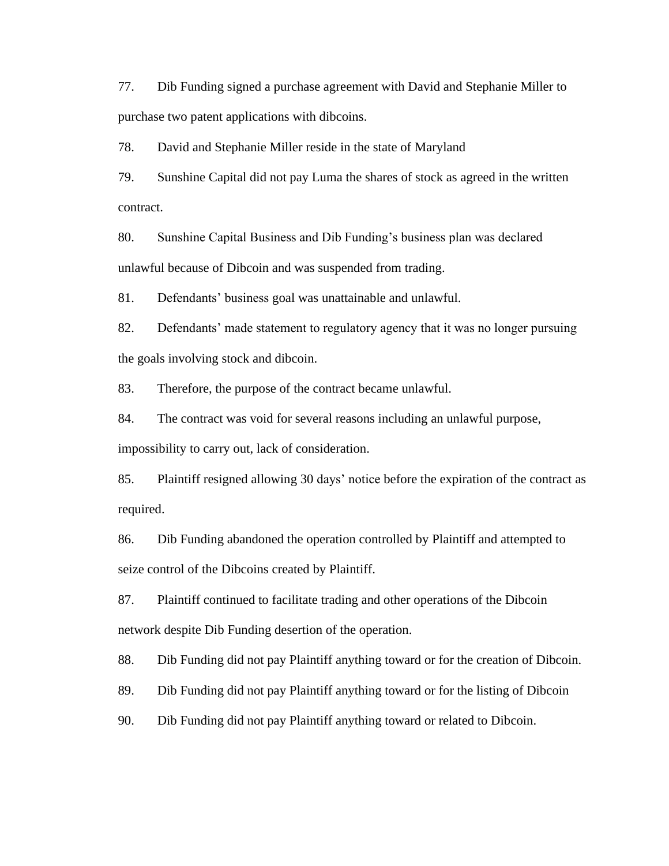77. Dib Funding signed a purchase agreement with David and Stephanie Miller to purchase two patent applications with dibcoins.

78. David and Stephanie Miller reside in the state of Maryland

79. Sunshine Capital did not pay Luma the shares of stock as agreed in the written contract.

80. Sunshine Capital Business and Dib Funding's business plan was declared unlawful because of Dibcoin and was suspended from trading.

81. Defendants' business goal was unattainable and unlawful.

82. Defendants' made statement to regulatory agency that it was no longer pursuing the goals involving stock and dibcoin.

83. Therefore, the purpose of the contract became unlawful.

84. The contract was void for several reasons including an unlawful purpose, impossibility to carry out, lack of consideration.

85. Plaintiff resigned allowing 30 days' notice before the expiration of the contract as required.

86. Dib Funding abandoned the operation controlled by Plaintiff and attempted to seize control of the Dibcoins created by Plaintiff.

87. Plaintiff continued to facilitate trading and other operations of the Dibcoin network despite Dib Funding desertion of the operation.

88. Dib Funding did not pay Plaintiff anything toward or for the creation of Dibcoin.

89. Dib Funding did not pay Plaintiff anything toward or for the listing of Dibcoin

90. Dib Funding did not pay Plaintiff anything toward or related to Dibcoin.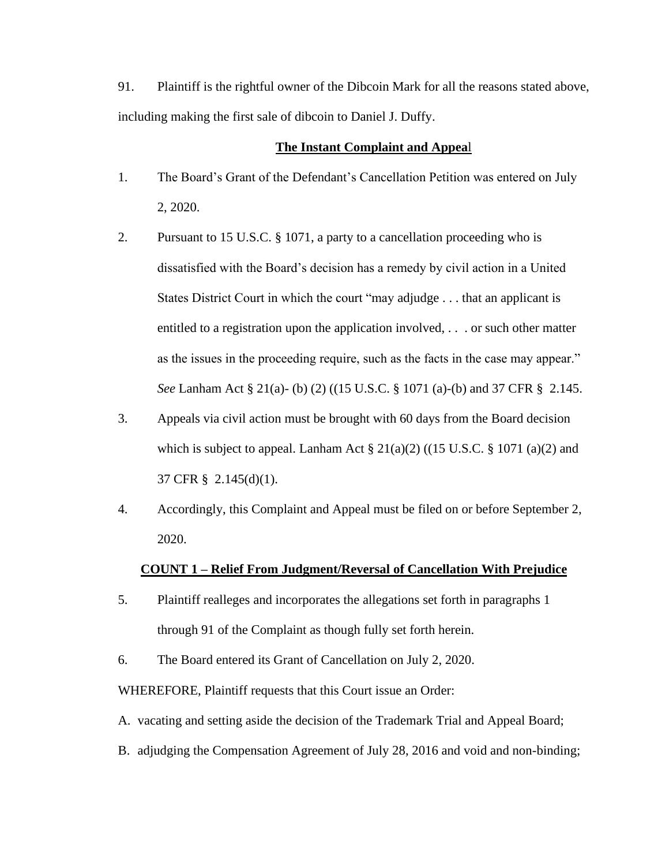91. Plaintiff is the rightful owner of the Dibcoin Mark for all the reasons stated above, including making the first sale of dibcoin to Daniel J. Duffy.

#### **The Instant Complaint and Appea**l

- 1. The Board's Grant of the Defendant's Cancellation Petition was entered on July 2, 2020.
- 2. Pursuant to 15 U.S.C. § 1071, a party to a cancellation proceeding who is dissatisfied with the Board's decision has a remedy by civil action in a United States District Court in which the court "may adjudge . . . that an applicant is entitled to a registration upon the application involved, . . . or such other matter as the issues in the proceeding require, such as the facts in the case may appear." *See* Lanham Act § 21(a)- (b) (2) ((15 U.S.C. § 1071 (a)-(b) and 37 CFR § 2.145.
- 3. Appeals via civil action must be brought with 60 days from the Board decision which is subject to appeal. Lanham Act  $\S 21(a)(2)$  ((15 U.S.C.  $\S 1071(a)(2)$  and 37 CFR § 2.145(d)(1).
- 4. Accordingly, this Complaint and Appeal must be filed on or before September 2, 2020.

## **COUNT 1 – Relief From Judgment/Reversal of Cancellation With Prejudice**

- 5. Plaintiff realleges and incorporates the allegations set forth in paragraphs 1 through 91 of the Complaint as though fully set forth herein.
- 6. The Board entered its Grant of Cancellation on July 2, 2020.

WHEREFORE, Plaintiff requests that this Court issue an Order:

- A. vacating and setting aside the decision of the Trademark Trial and Appeal Board;
- B. adjudging the Compensation Agreement of July 28, 2016 and void and non-binding;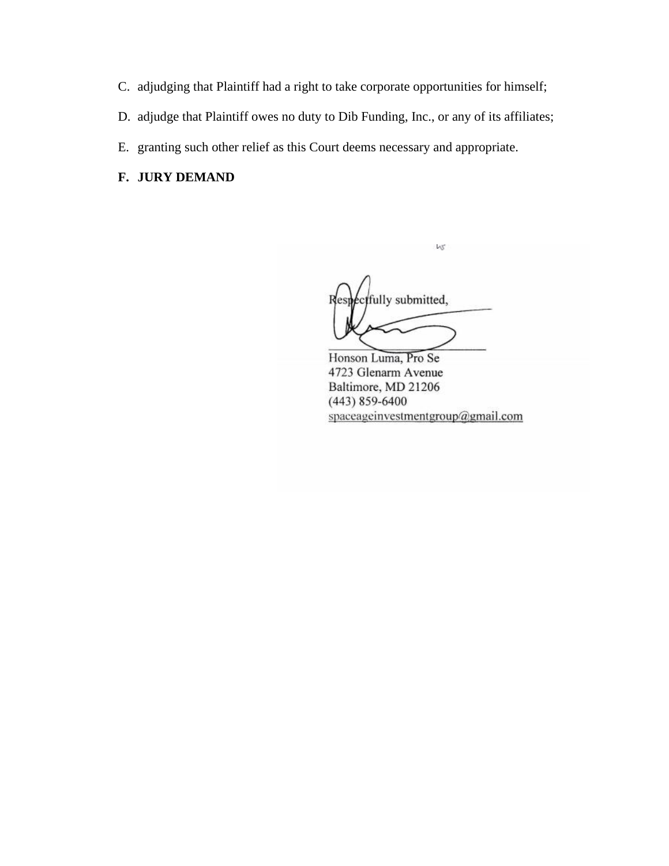- C. adjudging that Plaintiff had a right to take corporate opportunities for himself;
- D. adjudge that Plaintiff owes no duty to Dib Funding, Inc., or any of its affiliates;
- E. granting such other relief as this Court deems necessary and appropriate.

# **F. JURY DEMAND**

fully submitted, Res

W

Honson Luma, Pro Se 4723 Glenarm Avenue Baltimore, MD 21206  $(443)$  859-6400 spaceageinvestmentgroup@gmail.com